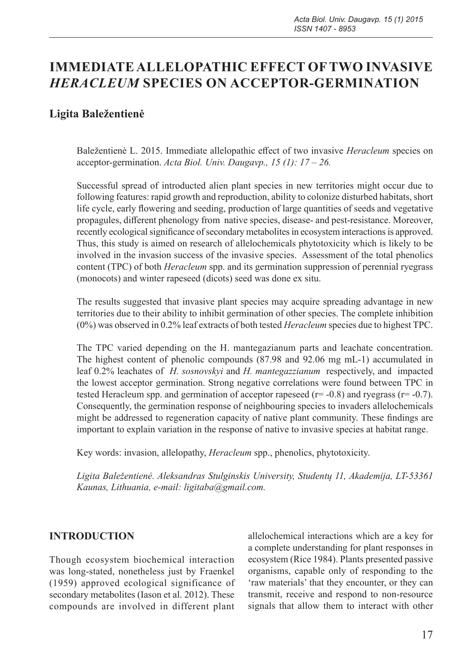# **IMMEDIATE ALLELOPATHIC EFFECT OF TWO INVASIVE**  *HERACLEUM* **SPECIES ON ACCEPTOR-GERMINATION**

## **Ligita Baležentienė**

Baležentienė L. 2015. Immediate allelopathic effect of two invasive *Heracleum* species on acceptor-germination. *Acta Biol. Univ. Daugavp., 15 (1): 17 – 26.*

Successful spread of introducted alien plant species in new territories might occur due to following features: rapid growth and reproduction, ability to colonize disturbed habitats, short life cycle, early flowering and seeding, production of large quantities of seeds and vegetative propagules, different phenology from native species, disease- and pest-resistance. Moreover, recently ecological significance of secondary metabolites in ecosystem interactions is approved. Thus, this study is aimed on research of allelochemicals phytotoxicity which is likely to be involved in the invasion success of the invasive species. Assessment of the total phenolics content (TPC) of both *Heracleum* spp. and its germination suppression of perennial ryegrass (monocots) and winter rapeseed (dicots) seed was done ex situ.

The results suggested that invasive plant species may acquire spreading advantage in new territories due to their ability to inhibit germination of other species. The complete inhibition (0%) was observed in 0.2% leaf extracts of both tested *Heracleum* species due to highest TPC.

The TPC varied depending on the H. mantegazianum parts and leachate concentration. The highest content of phenolic compounds (87.98 and 92.06 mg mL-1) accumulated in leaf 0.2% leachates of *H. sosnovskyi* and *H. mantegazzianum* respectively, and impacted the lowest acceptor germination. Strong negative correlations were found between TPC in tested Heracleum spp. and germination of acceptor rapeseed ( $r = -0.8$ ) and ryegrass ( $r = -0.7$ ). Consequently, the germination response of neighbouring species to invaders allelochemicals might be addressed to regeneration capacity of native plant community. These findings are important to explain variation in the response of native to invasive species at habitat range.

Key words: invasion, allelopathy, *Heracleum* spp., phenolics, phytotoxicity.

*Ligita Baležentienė. Aleksandras Stulginskis University, Studentų 11, Akademija, LT-53361 Kaunas, Lithuania, e-mail: ligitaba@gmail.com.*

### **INTRODUCTION**

Though ecosystem biochemical interaction was long-stated, nonetheless just by Fraenkel (1959) approved ecological significance of secondary metabolites (Iason et al. 2012). These compounds are involved in different plant

allelochemical interactions which are a key for a complete understanding for plant responses in ecosystem (Rice 1984). Plants presented passive organisms, capable only of responding to the 'raw materials' that they encounter, or they can transmit, receive and respond to non-resource signals that allow them to interact with other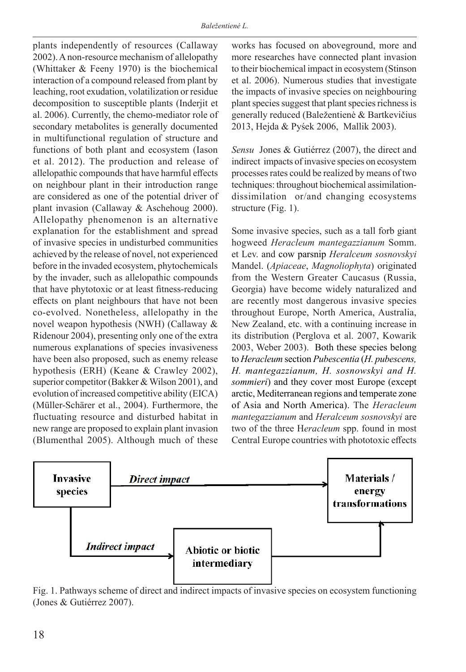plants independently of resources (Callaway 2002). A non-resource mechanism of allelopathy (Whittaker & Feeny 1970) is the biochemical interaction of a compound released from plant by leaching, root exudation, volatilization or residue decomposition to susceptible plants (Inderjit et al. 2006). Currently, the chemo-mediator role of secondary metabolites is generally documented in multifunctional regulation of structure and functions of both plant and ecosystem (Iason et al. 2012). The production and release of allelopathic compounds that have harmful effects on neighbour plant in their introduction range are considered as one of the potential driver of plant invasion (Callaway & Aschehoug 2000). Allelopathy phenomenon is an alternative explanation for the establishment and spread of invasive species in undisturbed communities achieved by the release of novel, not experienced before in the invaded ecosystem, phytochemicals by the invader, such as allelopathic compounds that have phytotoxic or at least fitness-reducing effects on plant neighbours that have not been co-evolved. Nonetheless, allelopathy in the novel weapon hypothesis (NWH) (Callaway & Ridenour 2004), presenting only one of the extra numerous explanations of species invasiveness have been also proposed, such as enemy release hypothesis (ERH) (Keane & Crawley 2002), superior competitor (Bakker & Wilson 2001), and evolution of increased competitive ability (EICA) (Müller-Schärer et al., 2004). Furthermore, the fluctuating resource and disturbed habitat in new range are proposed to explain plant invasion (Blumenthal 2005). Although much of these

works has focused on aboveground, more and more researches have connected plant invasion to their biochemical impact in ecosystem (Stinson et al. 2006). Numerous studies that investigate the impacts of invasive species on neighbouring plant species suggest that plant species richness is generally reduced (Baležentienė & Bartkevičius 2013, Hejda & Pyśek 2006, Mallik 2003).

*Sensu* Jones & Gutiérrez (2007), the direct and indirect impacts of invasive species on ecosystem processes rates could be realized by means of two techniques: throughout biochemical assimilationdissimilation or/and changing ecosystems structure (Fig. 1).

Some invasive species, such as a tall forb giant hogweed *Heracleum mantegazzianum* Somm. et Lev. and cow parsnip *Heralceum sosnovskyi* Mandel. (*Apiaceae*, *Magnoliophyta*) originated from the Western Greater Caucasus (Russia, Georgia) have become widely naturalized and are recently most dangerous invasive species throughout Europe, North America, Australia, New Zealand, etc. with a continuing increase in its distribution (Perglova et al. 2007, Kowarik 2003, Weber 2003). Both these species belong to *Heracleum* section *Pubescentia* (*H. pubescens, H. mantegazzianum, H. sosnowskyi and H. sommieri*) and they cover most Europe (except arctic, Mediterranean regions and temperate zone of Asia and North America). The *Heracleum mantegazzianum* and *Heralceum sosnovskyi* are two of the three H*eracleum* spp. found in most Central Europe countries with phototoxic effects



Fig. 1. Pathways scheme of direct and indirect impacts of invasive species on ecosystem functioning (Jones & Gutiérrez 2007).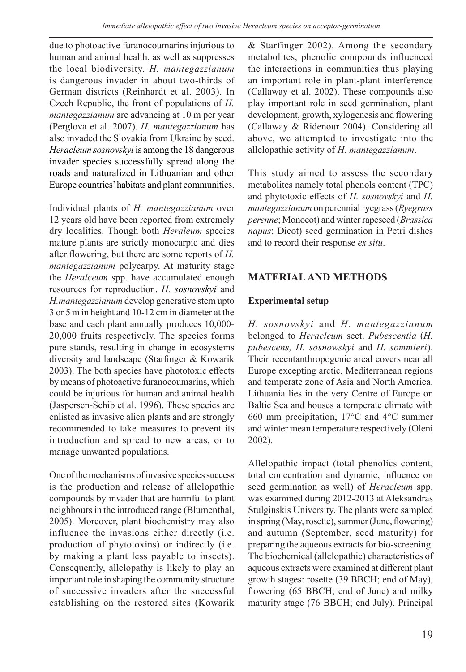due to photoactive furanocoumarins injurious to human and animal health, as well as suppresses the local biodiversity. *H. mantegazzianum* is dangerous invader in about two-thirds of German districts (Reinhardt et al. 2003). In Czech Republic, the front of populations of *H. mantegazzianum* are advancing at 10 m per year (Perglova et al. 2007). *H. mantegazzianum* has also invaded the Slovakia from Ukraine by seed. *Heracleum sosnovskyi* is among the 18 dangerous invader species successfully spread along the roads and naturalized in Lithuanian and other Europe countries' habitats and plant communities.

Individual plants of *H. mantegazzianum* over 12 years old have been reported from extremely dry localities. Though both *Heraleum* species mature plants are strictly monocarpic and dies after flowering, but there are some reports of *H. mantegazzianum* polycarpy. At maturity stage the *Heralceum* spp. have accumulated enough resources for reproduction. *H. sosnovskyi* and *H.mantegazzianum* develop generative stem upto 3 or 5 m in height and 10-12 cm in diameter at the base and each plant annually produces 10,000- 20,000 fruits respectively. The species forms pure stands, resulting in change in ecosystems diversity and landscape (Starfinger & Kowarik 2003). The both species have phototoxic effects by means of photoactive furanocoumarins, which could be injurious for human and animal health (Jaspersen-Schib et al. 1996). These species are enlisted as invasive alien plants and are strongly recommended to take measures to prevent its introduction and spread to new areas, or to manage unwanted populations.

One of the mechanisms of invasive species success is the production and release of allelopathic compounds by invader that are harmful to plant neighbours in the introduced range (Blumenthal, 2005). Moreover, plant biochemistry may also influence the invasions either directly (i.e. production of phytotoxins) or indirectly (i.e. by making a plant less payable to insects). Consequently, allelopathy is likely to play an important role in shaping the community structure of successive invaders after the successful establishing on the restored sites (Kowarik

& Starfinger 2002). Among the secondary metabolites, phenolic compounds influenced the interactions in communities thus playing an important role in plant-plant interference (Callaway et al. 2002). These compounds also play important role in seed germination, plant development, growth, xylogenesis and flowering (Callaway & Ridenour 2004). Considering all above, we attempted to investigate into the allelopathic activity of *H. mantegazzianum*.

This study aimed to assess the secondary metabolites namely total phenols content (TPC) and phytotoxic effects of *H. sosnovskyi* and *H. mantegazzianum* on perennial ryegrass (*Ryegrass perenne*; Monocot) and winter rapeseed (*Brassica napus*; Dicot) seed germination in Petri dishes and to record their response *ex situ*.

## **MATERIAL AND METHODS**

### **Experimental setup**

*H. sosnovskyi* and *H. mantegazzianum* belonged to *Heracleum* sect. *Pubescentia* (*H. pubescens, H. sosnowskyi* and *H. sommieri*). Their recentanthropogenic areal covers near all Europe excepting arctic, Mediterranean regions and temperate zone of Asia and North America. Lithuania lies in the very Centre of Europe on Baltic Sea and houses a temperate climate with 660 mm precipitation, 17°C and 4°C summer and winter mean temperature respectively (Oleni 2002).

Allelopathic impact (total phenolics content, total concentration and dynamic, influence on seed germination as well) of *Heracleum* spp. was examined during 2012-2013 at Aleksandras Stulginskis University. The plants were sampled in spring (May, rosette), summer (June, flowering) and autumn (September, seed maturity) for preparing the aqueous extracts for bio-screening. The biochemical (allelopathic) characteristics of aqueous extracts were examined at different plant growth stages: rosette (39 BBCH; end of May), flowering (65 BBCH; end of June) and milky maturity stage (76 BBCH; end July). Principal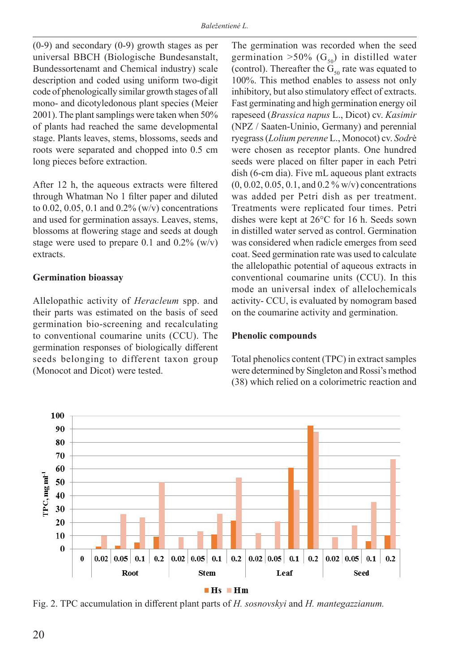(0-9) and secondary (0-9) growth stages as per universal BBCH (Biologische Bundesanstalt, Bundessortenamt and Chemical industry) scale description and coded using uniform two-digit code of phenologically similar growth stages of all mono- and dicotyledonous plant species (Meier 2001). The plant samplings were taken when 50% of plants had reached the same developmental stage. Plants leaves, stems, blossoms, seeds and roots were separated and chopped into 0.5 cm long pieces before extraction.

After 12 h, the aqueous extracts were filtered through Whatman No 1 filter paper and diluted to 0.02, 0.05, 0.1 and 0.2% (w/v) concentrations and used for germination assays. Leaves, stems, blossoms at flowering stage and seeds at dough stage were used to prepare 0.1 and 0.2% (w/v) extracts.

#### **Germination bioassay**

Allelopathic activity of *Heracleum* spp. and their parts was estimated on the basis of seed germination bio-screening and recalculating to conventional coumarine units (CCU). The germination responses of biologically different seeds belonging to different taxon group (Monocot and Dicot) were tested.

The germination was recorded when the seed germination >50% (G<sub>50</sub>) in distilled water (control). Thereafter the  $G_{50}$  rate was equated to 100%. This method enables to assess not only inhibitory, but also stimulatory effect of extracts. Fast germinating and high germination energy oil rapeseed (*Brassica napus* L., Dicot) cv. *Kasimir* (NPZ / Saaten-Uninio, Germany) and perennial ryegrass (*Lolium perenne* L., Monocot) cv. *Sodr*ė were chosen as receptor plants. One hundred seeds were placed on filter paper in each Petri dish (6-cm dia). Five mL aqueous plant extracts (0, 0.02, 0.05, 0.1, and 0.2 % w/v) concentrations was added per Petri dish as per treatment. Treatments were replicated four times. Petri dishes were kept at 26°C for 16 h. Seeds sown in distilled water served as control. Germination was considered when radicle emerges from seed coat. Seed germination rate was used to calculate the allelopathic potential of aqueous extracts in conventional coumarine units (CCU). In this mode an universal index of allelochemicals activity- CCU, is evaluated by nomogram based on the coumarine activity and germination.

#### **Phenolic compounds**

Total phenolics content (TPC) in extract samples were determined by Singleton and Rossi's method (38) which relied on a colorimetric reaction and



Fig. 2. TPC accumulation in different plant parts of *H. sosnovskyi* and *H. mantegazzianum.*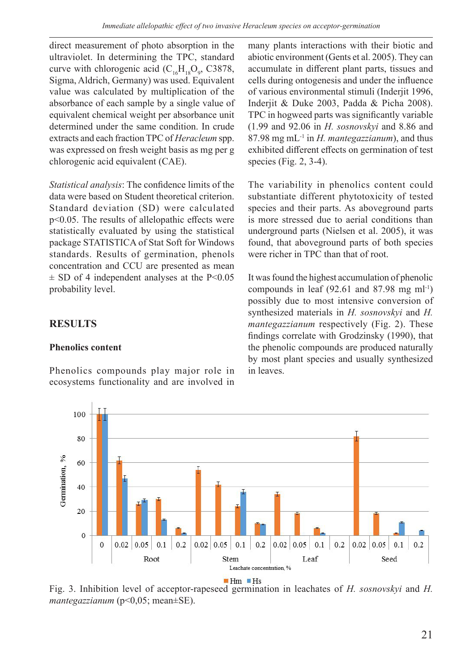direct measurement of photo absorption in the ultraviolet. In determining the TPC, standard curve with chlorogenic acid  $(C_{16}H_{18}O_9, C3878,$ Sigma, Aldrich, Germany) was used. Equivalent value was calculated by multiplication of the absorbance of each sample by a single value of equivalent chemical weight per absorbance unit determined under the same condition. In crude extracts and each fraction TPC of *Heracleum* spp. was expressed on fresh weight basis as mg per g chlorogenic acid equivalent (CAE).

*Statistical analysis*: The confidence limits of the data were based on Student theoretical criterion. Standard deviation (SD) were calculated p<0.05. The results of allelopathic effects were statistically evaluated by using the statistical package STATISTICA of Stat Soft for Windows standards. Results of germination, phenols concentration and CCU are presented as mean  $\pm$  SD of 4 independent analyses at the P<0.05 probability level.

## **RESULTS**

### **Phenolics content**

Phenolics compounds play major role in ecosystems functionality and are involved in

many plants interactions with their biotic and abiotic environment (Gents et al. 2005). They can accumulate in different plant parts, tissues and cells during ontogenesis and under the influence of various environmental stimuli (Inderjit 1996, Inderjit & Duke 2003, Padda & Picha 2008). TPC in hogweed parts was significantly variable (1.99 and 92.06 in *H. sosnovskyi* and 8.86 and 87.98 mg mL-1 in *H. mantegazzianum*), and thus exhibited different effects on germination of test species (Fig. 2, 3-4).

The variability in phenolics content could substantiate different phytotoxicity of tested species and their parts. As aboveground parts is more stressed due to aerial conditions than underground parts (Nielsen et al. 2005), it was found, that aboveground parts of both species were richer in TPC than that of root.

It was found the highest accumulation of phenolic compounds in leaf  $(92.61$  and  $87.98$  mg ml<sup>-1</sup>) possibly due to most intensive conversion of synthesized materials in *H. sosnovskyi* and *H. mantegazzianum* respectively (Fig. 2). These findings correlate with Grodzinsky (1990), that the phenolic compounds are produced naturally by most plant species and usually synthesized in leaves.



Fig. 3. Inhibition level of acceptor-rapeseed germination in leachates of *H. sosnovskyi* and *H. mantegazzianum* (p<0,05; mean±SE).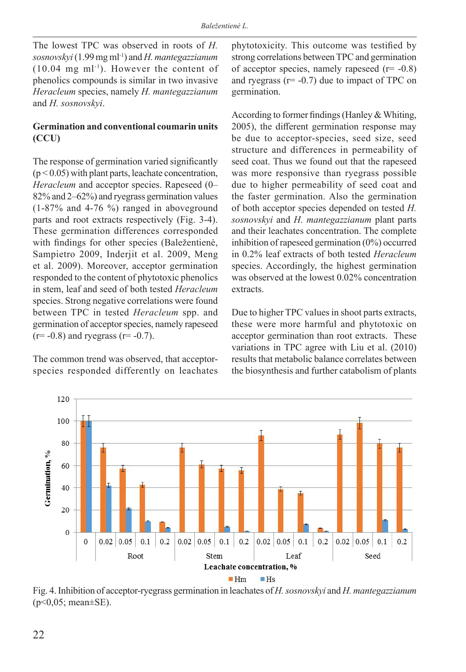The lowest TPC was observed in roots of *H. sosnovskyi* (1.99 mg ml-1) and *H. mantegazzianum*  $(10.04 \text{ mg ml}^{-1})$ . However the content of phenolics compounds is similar in two invasive *Heracleum* species, namely *H. mantegazzianum*  and *H. sosnovskyi*.

### **Germination and conventional coumarin units (CCU)**

The response of germination varied significantly (p < 0.05) with plant parts, leachate concentration, *Heracleum* and acceptor species. Rapeseed (0– 82% and 2–62%) and ryegrass germination values (1-87% and 4-76 %) ranged in aboveground parts and root extracts respectively (Fig. 3-4). These germination differences corresponded with findings for other species (Baležentienė, Sampietro 2009, Inderjit et al. 2009, Meng et al. 2009). Moreover, acceptor germination responded to the content of phytotoxic phenolics in stem, leaf and seed of both tested *Heracleum*  species. Strong negative correlations were found between TPC in tested *Heracleum* spp. and germination of acceptor species, namely rapeseed  $(r=-0.8)$  and ryegrass  $(r=-0.7)$ .

The common trend was observed, that acceptorspecies responded differently on leachates phytotoxicity. This outcome was testified by strong correlations between TPC and germination of acceptor species, namely rapeseed  $(r = -0.8)$ and ryegrass  $(r = -0.7)$  due to impact of TPC on germination.

According to former findings (Hanley & Whiting, 2005), the different germination response may be due to acceptor-species, seed size, seed structure and differences in permeability of seed coat. Thus we found out that the rapeseed was more responsive than ryegrass possible due to higher permeability of seed coat and the faster germination. Also the germination of both acceptor species depended on tested *H. sosnovskyi* and *H. mantegazzianum* plant parts and their leachates concentration. The complete inhibition of rapeseed germination (0%) occurred in 0.2% leaf extracts of both tested *Heracleum*  species. Accordingly, the highest germination was observed at the lowest 0.02% concentration extracts.

Due to higher TPC values in shoot parts extracts, these were more harmful and phytotoxic on acceptor germination than root extracts. These variations in TPC agree with Liu et al. (2010) results that metabolic balance correlates between the biosynthesis and further catabolism of plants



Fig. 4. Inhibition of acceptor-ryegrass germination in leachates of *H. sosnovskyi* and *H. mantegazzianum*   $(p<0.05;$  mean $\pm$ SE).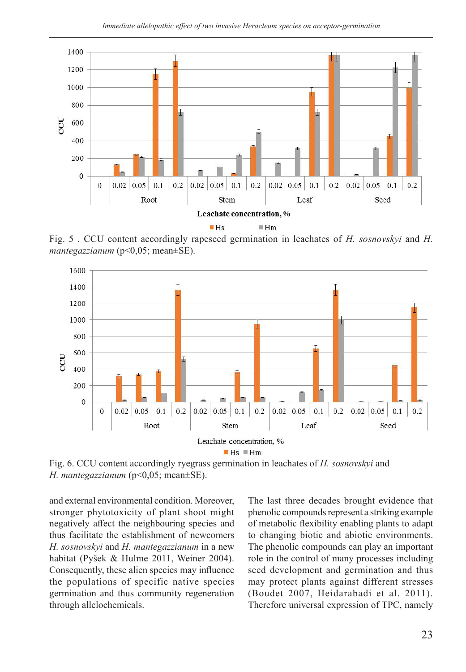

Fig. 5 . CCU content accordingly rapeseed germination in leachates of *H. sosnovskyi* and *H. mantegazzianum* (p<0,05; mean±SE).



Fig. 6. CCU content accordingly ryegrass germination in leachates of *H. sosnovskyi* and *H. mantegazzianum* (p<0,05; mean±SE).

and external environmental condition. Moreover, stronger phytotoxicity of plant shoot might negatively affect the neighbouring species and thus facilitate the establishment of newcomers *H. sosnovskyi* and *H. mantegazzianum* in a new habitat (Pyšek & Hulme 2011, Weiner 2004). Consequently, these alien species may influence the populations of specific native species germination and thus community regeneration through allelochemicals.

The last three decades brought evidence that phenolic compounds represent a striking example of metabolic flexibility enabling plants to adapt to changing biotic and abiotic environments. The phenolic compounds can play an important role in the control of many processes including seed development and germination and thus may protect plants against different stresses (Boudet 2007, Heidarabadi et al. 2011). Therefore universal expression of TPC, namely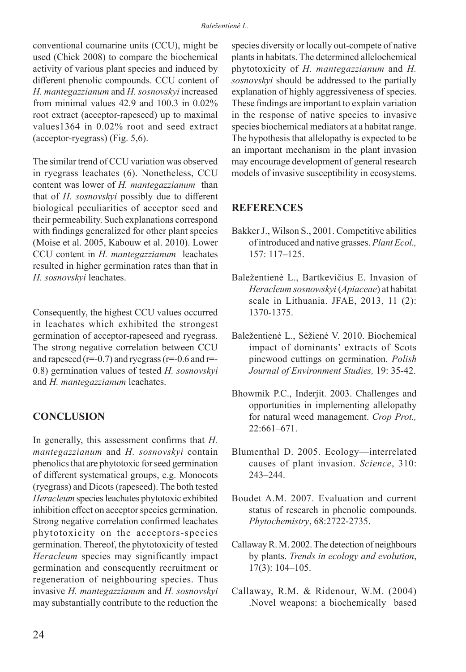conventional coumarine units (CCU), might be used (Chick 2008) to compare the biochemical activity of various plant species and induced by different phenolic compounds. CCU content of *H. mantegazzianum* and *H. sosnovskyi* increased from minimal values 42.9 and 100.3 in 0.02% root extract (acceptor-rapeseed) up to maximal values1364 in 0.02% root and seed extract (acceptor-ryegrass) (Fig. 5,6).

The similar trend of CCU variation was observed in ryegrass leachates (6). Nonetheless, CCU content was lower of *H. mantegazzianum* than that of *H. sosnovskyi* possibly due to different biological peculiarities of acceptor seed and their permeability. Such explanations correspond with findings generalized for other plant species (Moise et al. 2005, Kabouw et al. 2010). Lower CCU content in *H. mantegazzianum* leachates resulted in higher germination rates than that in *H. sosnovskyi* leachates.

Consequently, the highest CCU values occurred in leachates which exhibited the strongest germination of acceptor-rapeseed and ryegrass. The strong negative correlation between CCU and rapeseed  $(r=0.7)$  and ryegrass  $(r=0.6$  and r=-0.8) germination values of tested *H. sosnovskyi* and *H. mantegazzianum* leachates.

## **CONCLUSION**

In generally, this assessment confirms that *H. mantegazzianum* and *H. sosnovskyi* contain phenolics that are phytotoxic for seed germination of different systematical groups, e.g. Monocots (ryegrass) and Dicots (rapeseed). The both tested *Heracleum* species leachates phytotoxic exhibited inhibition effect on acceptor species germination. Strong negative correlation confirmed leachates phytotoxicity on the acceptors-species germination. Thereof, the phytotoxicity of tested *Heracleum* species may significantly impact germination and consequently recruitment or regeneration of neighbouring species. Thus invasive *H. mantegazzianum* and *H. sosnovskyi*  may substantially contribute to the reduction the species diversity or locally out-compete of native plants in habitats. The determined allelochemical phytotoxicity of *H. mantegazzianum* and *H. sosnovskyi* should be addressed to the partially explanation of highly aggressiveness of species. These findings are important to explain variation in the response of native species to invasive species biochemical mediators at a habitat range. The hypothesis that allelopathy is expected to be an important mechanism in the plant invasion may encourage development of general research models of invasive susceptibility in ecosystems.

### **REFERENCES**

- Bakker J., Wilson S., 2001. Competitive abilities of introduced and native grasses. *Plant Ecol.,*  157: 117–125.
- Baležentienė L., Bartkevičius E. Invasion of *Heracleum sosnowskyi* (*Apiaceae*) at habitat scale in Lithuania. JFAE, 2013, 11 (2): 1370-1375.
- Baležentienė L., Sėžienė V. 2010. Biochemical impact of dominants' extracts of Scots pinewood cuttings on germination. *Polish Journal of Environment Studies,* 19: 35-42.
- Bhowmik P.C., Inderjit. 2003. Challenges and opportunities in implementing allelopathy for natural weed management. *Crop Prot.,*  22:661–671.
- Blumenthal D. 2005. Ecology—interrelated causes of plant invasion. *Science*, 310: 243–244.
- Boudet A.M. 2007. Evaluation and current status of research in phenolic compounds. *Phytochemistry*, 68:2722-2735.
- Callaway R. M. 2002. The detection of neighbours by plants. *Trends in ecology and evolution*, 17(3): 104–105.
- Callaway, R.M. & Ridenour, W.M. (2004) .Novel weapons: a biochemically based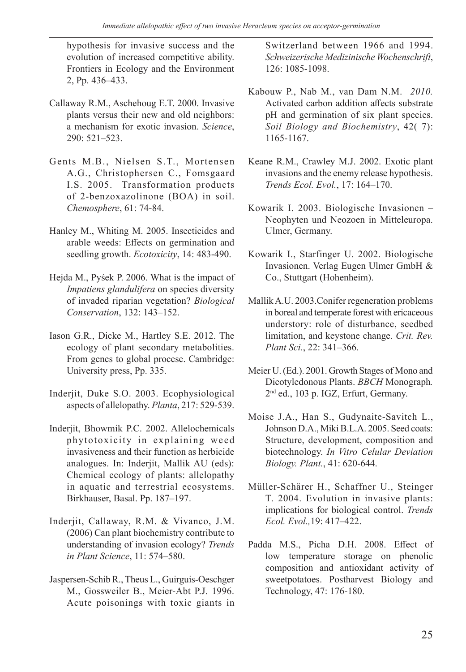hypothesis for invasive success and the evolution of increased competitive ability. Frontiers in Ecology and the Environment 2, Pp. 436–433.

- Callaway R.M., Aschehoug E.T. 2000. Invasive plants versus their new and old neighbors: a mechanism for exotic invasion. *Science*, 290: 521–523.
- Gents M.B., Nielsen S.T., Mortensen A.G., Christophersen C., Fomsgaard I.S. 2005. Transformation products of 2-benzoxazolinone (BOA) in soil. *Chemosphere*, 61: 74-84.
- Hanley M., Whiting M. 2005. Insecticides and arable weeds: Effects on germination and seedling growth. *Ecotoxicity*, 14: 483-490.
- Hejda M., Pyśek P. 2006. What is the impact of *Impatiens glandulifera* on species diversity of invaded riparian vegetation? *Biological Conservation*, 132: 143–152.
- Iason G.R., Dicke M., Hartley S.E. 2012. The ecology of plant secondary metabolities. From genes to global procese. Cambridge: University press, Pp. 335.
- Inderjit, Duke S.O. 2003. Ecophysiological aspects of allelopathy. *Planta*, 217: 529-539.
- Inderjit, Bhowmik P.C. 2002. Allelochemicals phytotoxicity in explaining weed invasiveness and their function as herbicide analogues. In: Inderjit, Mallik AU (eds): Chemical ecology of plants: allelopathy in aquatic and terrestrial ecosystems. Birkhauser, Basal. Pp. 187–197.
- Inderjit, Callaway, R.M. & Vivanco, J.M. (2006) Can plant biochemistry contribute to understanding of invasion ecology? *Trends in Plant Science*, 11: 574–580.
- Jaspersen-Schib R., Theus L., Guirguis-Oeschger M., Gossweiler B., Meier-Abt P.J. 1996. Acute poisonings with toxic giants in

Switzerland between 1966 and 1994. *Schweizerische Medizinische Wochenschrift*, 126: 1085-1098.

- Kabouw P., Nab M., van Dam N.M. *2010.*  Activated carbon addition affects substrate pH and germination of six plant species. *Soil Biology and Biochemistry*, 42( 7): 1165-1167.
- Keane R.M., Crawley M.J. 2002. Exotic plant invasions and the enemy release hypothesis. *Trends Ecol. Evol.*, 17: 164–170.
- Kowarik I. 2003. Biologische Invasionen Neophyten und Neozoen in Mitteleuropa. Ulmer, Germany.
- Kowarik I., Starfinger U. 2002. Biologische Invasionen. Verlag Eugen Ulmer GmbH & Co., Stuttgart (Hohenheim).
- Mallik A.U. 2003.Conifer regeneration problems in boreal and temperate forest with ericaceous understory: role of disturbance, seedbed limitation, and keystone change. *Crit. Rev. Plant Sci.*, 22: 341–366.
- Meier U. (Ed.). 2001. Growth Stages of Mono and Dicotyledonous Plants. *BBCH* Monograph*.*  2nd ed., 103 p. IGZ, Erfurt, Germany.
- Moise J.A., Han S., Gudynaite-Savitch L., Johnson D.A., Miki B.L.A. 2005. Seed coats: Structure, development, composition and biotechnology. *In Vitro Celular Deviation Biology. Plant.*, 41: 620-644.
- Müller-Schärer H., Schaffner U., Steinger T. 2004. Evolution in invasive plants: implications for biological control. *Trends Ecol. Evol.,*19: 417–422.
- Padda M.S., Picha D.H. 2008. Effect of low temperature storage on phenolic composition and antioxidant activity of sweetpotatoes. Postharvest Biology and Technology, 47: 176-180.